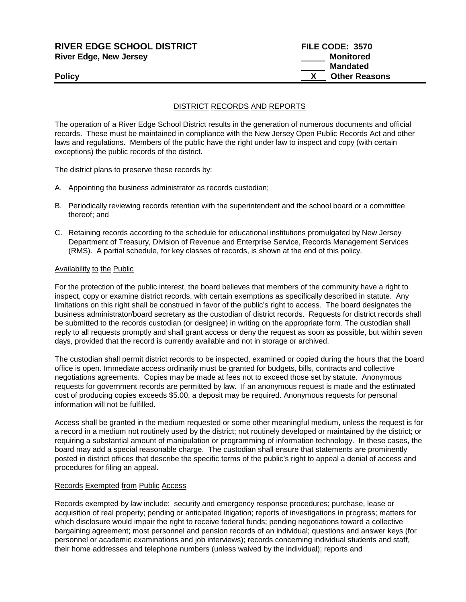## **RIVER EDGE SCHOOL DISTRICT FILE CODE: 3570 River Edge, New Jersey Monitored Monitored**

# **Mandated Policy X** Other Reasons

### DISTRICT RECORDS AND REPORTS

The operation of a River Edge School District results in the generation of numerous documents and official records. These must be maintained in compliance with the New Jersey Open Public Records Act and other laws and regulations. Members of the public have the right under law to inspect and copy (with certain exceptions) the public records of the district.

The district plans to preserve these records by:

- A. Appointing the business administrator as records custodian;
- B. Periodically reviewing records retention with the superintendent and the school board or a committee thereof; and
- C. Retaining records according to the schedule for educational institutions promulgated by New Jersey Department of Treasury, Division of Revenue and Enterprise Service, Records Management Services (RMS). A partial schedule, for key classes of records, is shown at the end of this policy.

#### Availability to the Public

For the protection of the public interest, the board believes that members of the community have a right to inspect, copy or examine district records, with certain exemptions as specifically described in statute. Any limitations on this right shall be construed in favor of the public's right to access. The board designates the business administrator/board secretary as the custodian of district records. Requests for district records shall be submitted to the records custodian (or designee) in writing on the appropriate form. The custodian shall reply to all requests promptly and shall grant access or deny the request as soon as possible, but within seven days, provided that the record is currently available and not in storage or archived.

The custodian shall permit district records to be inspected, examined or copied during the hours that the board office is open. Immediate access ordinarily must be granted for budgets, bills, contracts and collective negotiations agreements. Copies may be made at fees not to exceed those set by statute. Anonymous requests for government records are permitted by law. If an anonymous request is made and the estimated cost of producing copies exceeds \$5.00, a deposit may be required. Anonymous requests for personal information will not be fulfilled.

Access shall be granted in the medium requested or some other meaningful medium, unless the request is for a record in a medium not routinely used by the district; not routinely developed or maintained by the district; or requiring a substantial amount of manipulation or programming of information technology. In these cases, the board may add a special reasonable charge. The custodian shall ensure that statements are prominently posted in district offices that describe the specific terms of the public's right to appeal a denial of access and procedures for filing an appeal.

#### Records Exempted from Public Access

Records exempted by law include: security and emergency response procedures; purchase, lease or acquisition of real property; pending or anticipated litigation; reports of investigations in progress; matters for which disclosure would impair the right to receive federal funds; pending negotiations toward a collective bargaining agreement; most personnel and pension records of an individual; questions and answer keys (for personnel or academic examinations and job interviews); records concerning individual students and staff, their home addresses and telephone numbers (unless waived by the individual); reports and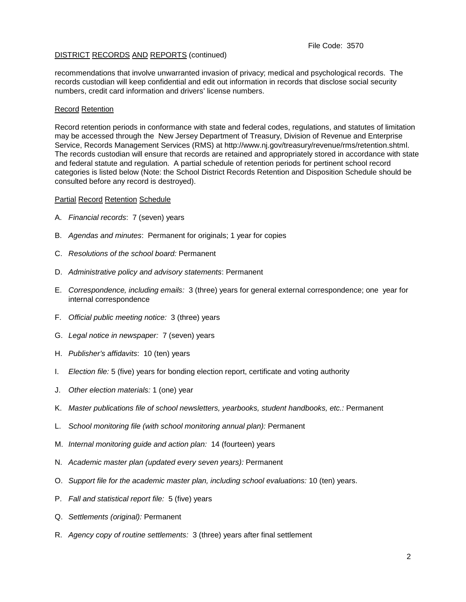#### File Code: 3570

#### DISTRICT RECORDS AND REPORTS (continued)

recommendations that involve unwarranted invasion of privacy; medical and psychological records. The records custodian will keep confidential and edit out information in records that disclose social security numbers, credit card information and drivers' license numbers.

#### Record Retention

Record retention periods in conformance with state and federal codes, regulations, and statutes of limitation may be accessed through the New Jersey Department of Treasury, Division of Revenue and Enterprise Service, Records Management Services (RMS) at http://www.nj.gov/treasury/revenue/rms/retention.shtml. The records custodian will ensure that records are retained and appropriately stored in accordance with state and federal statute and regulation. A partial schedule of retention periods for pertinent school record categories is listed below (Note: the School District Records Retention and Disposition Schedule should be consulted before any record is destroyed).

#### Partial Record Retention Schedule

- A. *Financial records*: 7 (seven) years
- B. *Agendas and minutes*: Permanent for originals; 1 year for copies
- C. *Resolutions of the school board:* Permanent
- D. *Administrative policy and advisory statements*: Permanent
- E. *Correspondence, including emails:* 3 (three) years for general external correspondence; one year for internal correspondence
- F. *Official public meeting notice:* 3 (three) years
- G. *Legal notice in newspaper:* 7 (seven) years
- H. *Publisher's affidavits*: 10 (ten) years
- I. *Election file:* 5 (five) years for bonding election report, certificate and voting authority
- J. *Other election materials:* 1 (one) year
- K. *Master publications file of school newsletters, yearbooks, student handbooks, etc.:* Permanent
- L. *School monitoring file (with school monitoring annual plan):* Permanent
- M. *Internal monitoring guide and action plan:* 14 (fourteen) years
- N. *Academic master plan (updated every seven years):* Permanent
- O. *Support file for the academic master plan, including school evaluations:* 10 (ten) years.
- P. *Fall and statistical report file:* 5 (five) years
- Q. *Settlements (original):* Permanent
- R. *Agency copy of routine settlements:* 3 (three) years after final settlement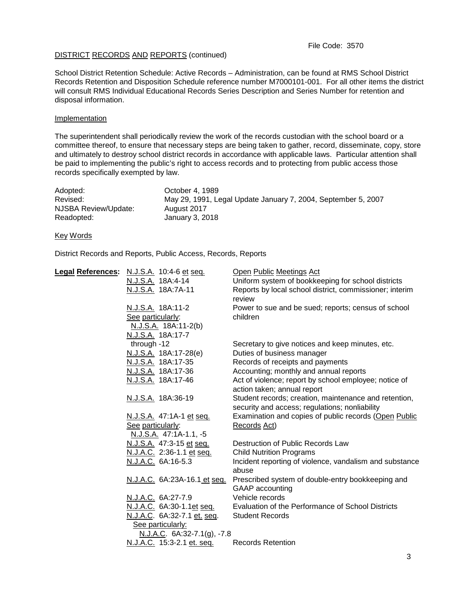#### DISTRICT RECORDS AND REPORTS (continued)

School District Retention Schedule: Active Records – Administration, can be found at RMS School District Records Retention and Disposition Schedule reference number M7000101-001. For all other items the district will consult RMS Individual Educational Records Series Description and Series Number for retention and disposal information.

#### Implementation

The superintendent shall periodically review the work of the records custodian with the school board or a committee thereof, to ensure that necessary steps are being taken to gather, record, disseminate, copy, store and ultimately to destroy school district records in accordance with applicable laws. Particular attention shall be paid to implementing the public's right to access records and to protecting from public access those records specifically exempted by law.

| Adopted:             | October 4, 1989                                               |
|----------------------|---------------------------------------------------------------|
| Revised:             | May 29, 1991, Legal Update January 7, 2004, September 5, 2007 |
| NJSBA Review/Update: | August 2017                                                   |
| Readopted:           | January 3, 2018                                               |

#### Key Words

District Records and Reports, Public Access, Records, Reports

| Legal References: N.J.S.A. 10:4-6 et seq. | Open Public Meetings Act                                |
|-------------------------------------------|---------------------------------------------------------|
| N.J.S.A. 18A:4-14                         | Uniform system of bookkeeping for school districts      |
| N.J.S.A. 18A:7A-11                        | Reports by local school district, commissioner; interim |
|                                           | review                                                  |
| N.J.S.A. 18A:11-2                         | Power to sue and be sued; reports; census of school     |
| See particularly:                         | children                                                |
| N.J.S.A. 18A:11-2(b)                      |                                                         |
| N.J.S.A. 18A:17-7                         |                                                         |
| through -12                               | Secretary to give notices and keep minutes, etc.        |
| N.J.S.A. 18A:17-28(e)                     | Duties of business manager                              |
| N.J.S.A. 18A:17-35                        | Records of receipts and payments                        |
| N.J.S.A. 18A:17-36                        | Accounting; monthly and annual reports                  |
| N.J.S.A. 18A:17-46                        | Act of violence; report by school employee; notice of   |
|                                           | action taken; annual report                             |
| N.J.S.A. 18A:36-19                        | Student records; creation, maintenance and retention,   |
|                                           | security and access; regulations; nonliability          |
| N.J.S.A. 47:1A-1 et seq.                  | Examination and copies of public records (Open Public   |
| See particularly:                         | Records Act)                                            |
| N.J.S.A. 47:1A-1.1, -5                    |                                                         |
| N.J.S.A. 47:3-15 et seq.                  | Destruction of Public Records Law                       |
| N.J.A.C. 2:36-1.1 et seq.                 | <b>Child Nutrition Programs</b>                         |
| N.J.A.C. 6A:16-5.3                        | Incident reporting of violence, vandalism and substance |
|                                           | abuse                                                   |
| N.J.A.C. 6A:23A-16.1 et seq.              | Prescribed system of double-entry bookkeeping and       |
|                                           | GAAP accounting                                         |
| N.J.A.C. 6A:27-7.9                        | Vehicle records                                         |
| N.J.A.C. 6A:30-1.1et seq.                 | Evaluation of the Performance of School Districts       |
| N.J.A.C. 6A:32-7.1 et. seq.               | <b>Student Records</b>                                  |
| See particularly:                         |                                                         |
| N.J.A.C. 6A:32-7.1(g), -7.8               |                                                         |
| N.J.A.C. 15:3-2.1 et. seq.                | <b>Records Retention</b>                                |